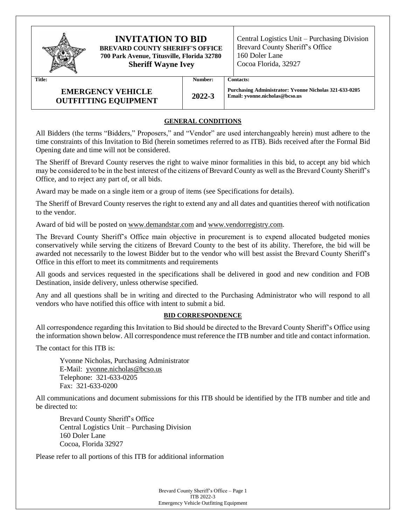

# **INVITATION TO BID BREVARD COUNTY SHERIFF'S OFFICE 700 Park Avenue, Titusville, Florida 32780**

**Sheriff Wayne Ivey**

Central Logistics Unit – Purchasing Division Brevard County Sheriff's Office 160 Doler Lane Cocoa Florida, 32927

**Title: Number: Contacts:**

# **EMERGENCY VEHICLE OUTFITTING EQUIPMENT 2022-3**

**Purchasing Administrator: Yvonne Nicholas 321-633-0205 Email: yvonne.nicholas@bcso.us**

# **GENERAL CONDITIONS**

All Bidders (the terms "Bidders," Proposers," and "Vendor" are used interchangeably herein) must adhere to the time constraints of this Invitation to Bid (herein sometimes referred to as ITB). Bids received after the Formal Bid Opening date and time will not be considered.

The Sheriff of Brevard County reserves the right to waive minor formalities in this bid, to accept any bid which may be considered to be in the best interest of the citizens of Brevard County as well as the Brevard County Sheriff's Office, and to reject any part of, or all bids.

Award may be made on a single item or a group of items (see Specifications for details).

The Sheriff of Brevard County reserves the right to extend any and all dates and quantities thereof with notification to the vendor.

Award of bid will be posted on [www.demandstar.com](http://www.demandstar.com/) and www.vendorregistry.com.

The Brevard County Sheriff's Office main objective in procurement is to expend allocated budgeted monies conservatively while serving the citizens of Brevard County to the best of its ability. Therefore, the bid will be awarded not necessarily to the lowest Bidder but to the vendor who will best assist the Brevard County Sheriff's Office in this effort to meet its commitments and requirements

All goods and services requested in the specifications shall be delivered in good and new condition and FOB Destination, inside delivery, unless otherwise specified.

Any and all questions shall be in writing and directed to the Purchasing Administrator who will respond to all vendors who have notified this office with intent to submit a bid.

# **BID CORRESPONDENCE**

All correspondence regarding this Invitation to Bid should be directed to the Brevard County Sheriff's Office using the information shown below. All correspondence must reference the ITB number and title and contact information.

The contact for this ITB is:

Yvonne Nicholas, Purchasing Administrator E-Mail: yvonne.nicholas@bcso.us Telephone: 321-633-0205 Fax: 321-633-0200

All communications and document submissions for this ITB should be identified by the ITB number and title and be directed to:

Brevard County Sheriff's Office Central Logistics Unit – Purchasing Division 160 Doler Lane Cocoa, Florida 32927

Please refer to all portions of this ITB for additional information

Brevard County Sheriff's Office – Page 1 ITB 2022-3 Emergency Vehicle Outfitting Equipment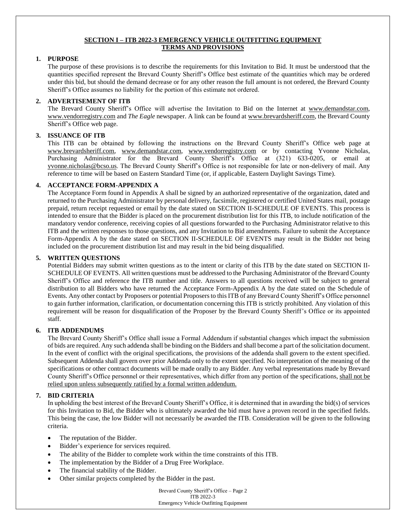## **SECTION I – ITB 2022-3 EMERGENCY VEHICLE OUTFITTING EQUIPMENT TERMS AND PROVISIONS**

## **1. PURPOSE**

The purpose of these provisions is to describe the requirements for this Invitation to Bid. It must be understood that the quantities specified represent the Brevard County Sheriff's Office best estimate of the quantities which may be ordered under this bid, but should the demand decrease or for any other reason the full amount is not ordered, the Brevard County Sheriff's Office assumes no liability for the portion of this estimate not ordered.

#### **2. ADVERTISEMENT OF ITB**

The Brevard County Sheriff's Office will advertise the Invitation to Bid on the Internet at [www.demandstar.com,](http://www.demandstar.com/) www.vendorregistry.com and *The Eagle* newspaper. A link can be found at www.brevardsheriff.com, the Brevard County Sheriff's Office web page.

## **3. ISSUANCE OF ITB**

This ITB can be obtained by following the instructions on the Brevard County Sheriff's Office web page at [www.brevardsheriff.com,](http://www.brevardsheriff.com/) [www.demandstar.com,](http://www.demandstar.com/) [www.vendorregistry.com](http://www.vendorregistry.com/) or by contacting Yvonne Nicholas, Purchasing Administrator for the Brevard County Sheriff's Office at (321) 633-0205, or email at [yvonne.nicholas@bcso.us.](mailto:trish.bestwick@brevardsheriff.com) The Brevard County Sheriff's Office is not responsible for late or non-delivery of mail. Any reference to time will be based on Eastern Standard Time (or, if applicable, Eastern Daylight Savings Time).

#### **4. ACCEPTANCE FORM-APPENDIX A**

The Acceptance Form found in Appendix A shall be signed by an authorized representative of the organization, dated and returned to the Purchasing Administrator by personal delivery, facsimile, registered or certified United States mail, postage prepaid, return receipt requested or email by the date stated on SECTION II-SCHEDULE OF EVENTS. This process is intended to ensure that the Bidder is placed on the procurement distribution list for this ITB, to include notification of the mandatory vendor conference, receiving copies of all questions forwarded to the Purchasing Administrator relative to this ITB and the written responses to those questions, and any Invitation to Bid amendments. Failure to submit the Acceptance Form-Appendix A by the date stated on SECTION II-SCHEDULE OF EVENTS may result in the Bidder not being included on the procurement distribution list and may result in the bid being disqualified.

#### **5. WRITTEN QUESTIONS**

Potential Bidders may submit written questions as to the intent or clarity of this ITB by the date stated on SECTION II-SCHEDULE OF EVENTS. All written questions must be addressed to the Purchasing Administrator of the Brevard County Sheriff's Office and reference the ITB number and title. Answers to all questions received will be subject to general distribution to all Bidders who have returned the Acceptance Form-Appendix A by the date stated on the Schedule of Events. Any other contact by Proposers or potential Proposers to this ITB of any Brevard County Sheriff's Office personnel to gain further information, clarification, or documentation concerning this ITB is strictly prohibited. Any violation of this requirement will be reason for disqualification of the Proposer by the Brevard County Sheriff's Office or its appointed staff.

## **6. ITB ADDENDUMS**

The Brevard County Sheriff's Office shall issue a Formal Addendum if substantial changes which impact the submission of bids are required. Any such addenda shall be binding on the Bidders and shall become a part of the solicitation document. In the event of conflict with the original specifications, the provisions of the addenda shall govern to the extent specified. Subsequent Addenda shall govern over prior Addenda only to the extent specified. No interpretation of the meaning of the specifications or other contract documents will be made orally to any Bidder. Any verbal representations made by Brevard County Sheriff's Office personnel or their representatives, which differ from any portion of the specifications, shall not be relied upon unless subsequently ratified by a formal written addendum.

## **7. BID CRITERIA**

In upholding the best interest of the Brevard County Sheriff's Office, it is determined that in awarding the bid(s) of services for this Invitation to Bid, the Bidder who is ultimately awarded the bid must have a proven record in the specified fields. This being the case, the low Bidder will not necessarily be awarded the ITB. Consideration will be given to the following criteria.

- The reputation of the Bidder.
- Bidder's experience for services required.
- The ability of the Bidder to complete work within the time constraints of this ITB.
- The implementation by the Bidder of a Drug Free Workplace.
- The financial stability of the Bidder.
- Other similar projects completed by the Bidder in the past.

Brevard County Sheriff's Office – Page 2 ITB 2022-3 Emergency Vehicle Outfitting Equipment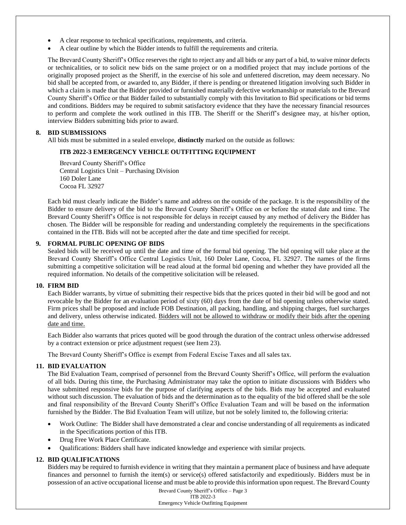- A clear response to technical specifications, requirements, and criteria.
- A clear outline by which the Bidder intends to fulfill the requirements and criteria.

The Brevard County Sheriff's Office reserves the right to reject any and all bids or any part of a bid, to waive minor defects or technicalities, or to solicit new bids on the same project or on a modified project that may include portions of the originally proposed project as the Sheriff, in the exercise of his sole and unfettered discretion, may deem necessary. No bid shall be accepted from, or awarded to, any Bidder, if there is pending or threatened litigation involving such Bidder in which a claim is made that the Bidder provided or furnished materially defective workmanship or materials to the Brevard County Sheriff's Office or that Bidder failed to substantially comply with this Invitation to Bid specifications or bid terms and conditions. Bidders may be required to submit satisfactory evidence that they have the necessary financial resources to perform and complete the work outlined in this ITB. The Sheriff or the Sheriff's designee may, at his/her option, interview Bidders submitting bids prior to award.

#### **8. BID SUBMISSIONS**

All bids must be submitted in a sealed envelope, **distinctly** marked on the outside as follows:

# **ITB 2022-3 EMERGENCY VEHICLE OUTFITTING EQUIPMENT**

Brevard County Sheriff's Office Central Logistics Unit – Purchasing Division 160 Doler Lane Cocoa FL 32927

Each bid must clearly indicate the Bidder's name and address on the outside of the package. It is the responsibility of the Bidder to ensure delivery of the bid to the Brevard County Sheriff's Office on or before the stated date and time. The Brevard County Sheriff's Office is not responsible for delays in receipt caused by any method of delivery the Bidder has chosen. The Bidder will be responsible for reading and understanding completely the requirements in the specifications contained in the ITB. Bids will not be accepted after the date and time specified for receipt.

## **9. FORMAL PUBLIC OPENING OF BIDS**

Sealed bids will be received up until the date and time of the formal bid opening. The bid opening will take place at the Brevard County Sheriff's Office Central Logistics Unit, 160 Doler Lane, Cocoa, FL 32927. The names of the firms submitting a competitive solicitation will be read aloud at the formal bid opening and whether they have provided all the required information. No details of the competitive solicitation will be released.

#### **10. FIRM BID**

Each Bidder warrants, by virtue of submitting their respective bids that the prices quoted in their bid will be good and not revocable by the Bidder for an evaluation period of sixty (60) days from the date of bid opening unless otherwise stated. Firm prices shall be proposed and include FOB Destination, all packing, handling, and shipping charges, fuel surcharges and delivery, unless otherwise indicated. Bidders will not be allowed to withdraw or modify their bids after the opening date and time.

Each Bidder also warrants that prices quoted will be good through the duration of the contract unless otherwise addressed by a contract extension or price adjustment request (see Item 23).

The Brevard County Sheriff's Office is exempt from Federal Excise Taxes and all sales tax.

#### **11. BID EVALUATION**

The Bid Evaluation Team, comprised of personnel from the Brevard County Sheriff's Office, will perform the evaluation of all bids. During this time, the Purchasing Administrator may take the option to initiate discussions with Bidders who have submitted responsive bids for the purpose of clarifying aspects of the bids. Bids may be accepted and evaluated without such discussion. The evaluation of bids and the determination as to the equality of the bid offered shall be the sole and final responsibility of the Brevard County Sheriff's Office Evaluation Team and will be based on the information furnished by the Bidder. The Bid Evaluation Team will utilize, but not be solely limited to, the following criteria:

- Work Outline: The Bidder shall have demonstrated a clear and concise understanding of all requirements as indicated in the Specifications portion of this ITB.
- Drug Free Work Place Certificate.
- Qualifications: Bidders shall have indicated knowledge and experience with similar projects.

## **12. BID QUALIFICATIONS**

Bidders may be required to furnish evidence in writing that they maintain a permanent place of business and have adequate finances and personnel to furnish the item(s) or service(s) offered satisfactorily and expeditiously. Bidders must be in possession of an active occupational license and must be able to provide this information upon request. The Brevard County

> Brevard County Sheriff's Office – Page 3 ITB 2022-3 Emergency Vehicle Outfitting Equipment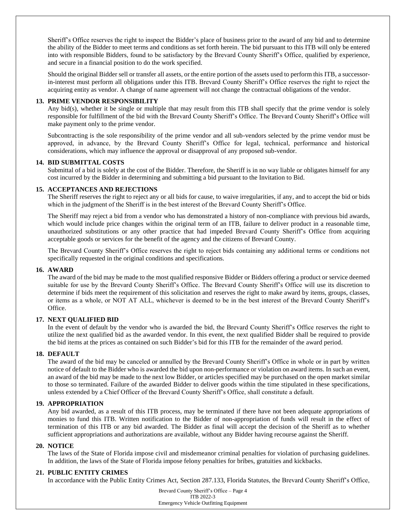Sheriff's Office reserves the right to inspect the Bidder's place of business prior to the award of any bid and to determine the ability of the Bidder to meet terms and conditions as set forth herein. The bid pursuant to this ITB will only be entered into with responsible Bidders, found to be satisfactory by the Brevard County Sheriff's Office, qualified by experience, and secure in a financial position to do the work specified.

Should the original Bidder sell or transfer all assets, or the entire portion of the assets used to perform this ITB, a successorin-interest must perform all obligations under this ITB. Brevard County Sheriff's Office reserves the right to reject the acquiring entity as vendor. A change of name agreement will not change the contractual obligations of the vendor.

#### **13. PRIME VENDOR RESPONSIBILITY**

Any bid(s), whether it be single or multiple that may result from this ITB shall specify that the prime vendor is solely responsible for fulfillment of the bid with the Brevard County Sheriff's Office. The Brevard County Sheriff's Office will make payment only to the prime vendor.

Subcontracting is the sole responsibility of the prime vendor and all sub-vendors selected by the prime vendor must be approved, in advance, by the Brevard County Sheriff's Office for legal, technical, performance and historical considerations, which may influence the approval or disapproval of any proposed sub-vendor.

#### **14. BID SUBMITTAL COSTS**

Submittal of a bid is solely at the cost of the Bidder. Therefore, the Sheriff is in no way liable or obligates himself for any cost incurred by the Bidder in determining and submitting a bid pursuant to the Invitation to Bid.

## **15. ACCEPTANCES AND REJECTIONS**

The Sheriff reserves the right to reject any or all bids for cause, to waive irregularities, if any, and to accept the bid or bids which in the judgment of the Sheriff is in the best interest of the Brevard County Sheriff's Office.

The Sheriff may reject a bid from a vendor who has demonstrated a history of non-compliance with previous bid awards, which would include price changes within the original term of an ITB, failure to deliver product in a reasonable time, unauthorized substitutions or any other practice that had impeded Brevard County Sheriff's Office from acquiring acceptable goods or services for the benefit of the agency and the citizens of Brevard County.

The Brevard County Sheriff's Office reserves the right to reject bids containing any additional terms or conditions not specifically requested in the original conditions and specifications.

#### **16. AWARD**

The award of the bid may be made to the most qualified responsive Bidder or Bidders offering a product or service deemed suitable for use by the Brevard County Sheriff's Office. The Brevard County Sheriff's Office will use its discretion to determine if bids meet the requirement of this solicitation and reserves the right to make award by items, groups, classes, or items as a whole, or NOT AT ALL, whichever is deemed to be in the best interest of the Brevard County Sheriff's Office.

#### **17. NEXT QUALIFIED BID**

In the event of default by the vendor who is awarded the bid, the Brevard County Sheriff's Office reserves the right to utilize the next qualified bid as the awarded vendor. In this event, the next qualified Bidder shall be required to provide the bid items at the prices as contained on such Bidder's bid for this ITB for the remainder of the award period.

## **18. DEFAULT**

The award of the bid may be canceled or annulled by the Brevard County Sheriff's Office in whole or in part by written notice of default to the Bidder who is awarded the bid upon non-performance or violation on award items. In such an event, an award of the bid may be made to the next low Bidder, or articles specified may be purchased on the open market similar to those so terminated. Failure of the awarded Bidder to deliver goods within the time stipulated in these specifications, unless extended by a Chief Officer of the Brevard County Sheriff's Office, shall constitute a default.

#### **19. APPROPRIATION**

Any bid awarded, as a result of this ITB process, may be terminated if there have not been adequate appropriations of monies to fund this ITB. Written notification to the Bidder of non-appropriation of funds will result in the effect of termination of this ITB or any bid awarded. The Bidder as final will accept the decision of the Sheriff as to whether sufficient appropriations and authorizations are available, without any Bidder having recourse against the Sheriff.

#### **20. NOTICE**

The laws of the State of Florida impose civil and misdemeanor criminal penalties for violation of purchasing guidelines. In addition, the laws of the State of Florida impose felony penalties for bribes, gratuities and kickbacks.

#### **21. PUBLIC ENTITY CRIMES**

In accordance with the Public Entity Crimes Act, Section 287.133, Florida Statutes, the Brevard County Sheriff's Office,

Brevard County Sheriff's Office – Page 4 ITB 2022-3 Emergency Vehicle Outfitting Equipment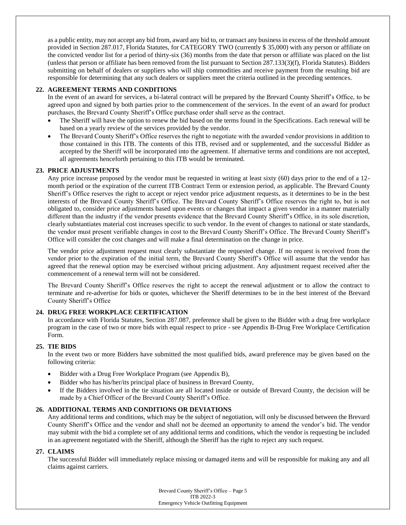as a public entity, may not accept any bid from, award any bid to, or transact any business in excess of the threshold amount provided in Section 287.017, Florida Statutes, for CATEGORY TWO (currently \$ 35,000) with any person or affiliate on the convicted vendor list for a period of thirty-six (36) months from the date that person or affiliate was placed on the list (unless that person or affiliate has been removed from the list pursuant to Section 287.133(3)(f), Florida Statutes). Bidders submitting on behalf of dealers or suppliers who will ship commodities and receive payment from the resulting bid are responsible for determining that any such dealers or suppliers meet the criteria outlined in the preceding sentences.

# **22. AGREEMENT TERMS AND CONDITIONS**

In the event of an award for services, a bi-lateral contract will be prepared by the Brevard County Sheriff's Office, to be agreed upon and signed by both parties prior to the commencement of the services. In the event of an award for product purchases, the Brevard County Sheriff's Office purchase order shall serve as the contract.

- The Sheriff will have the option to renew the bid based on the terms found in the Specifications. Each renewal will be based on a yearly review of the services provided by the vendor.
- The Brevard County Sheriff's Office reserves the right to negotiate with the awarded vendor provisions in addition to those contained in this ITB. The contents of this ITB, revised and or supplemented, and the successful Bidder as accepted by the Sheriff will be incorporated into the agreement. If alternative terms and conditions are not accepted, all agreements henceforth pertaining to this ITB would be terminated.

## **23. PRICE ADJUSTMENTS**

Any price increase proposed by the vendor must be requested in writing at least sixty (60) days prior to the end of a 12 month period or the expiration of the current ITB Contract Term or extension period, as applicable. The Brevard County Sheriff's Office reserves the right to accept or reject vendor price adjustment requests, as it determines to be in the best interests of the Brevard County Sheriff's Office. The Brevard County Sheriff's Office reserves the right to, but is not obligated to, consider price adjustments based upon events or changes that impact a given vendor in a manner materially different than the industry if the vendor presents evidence that the Brevard County Sheriff's Office, in its sole discretion, clearly substantiates material cost increases specific to such vendor. In the event of changes to national or state standards, the vendor must present verifiable changes in cost to the Brevard County Sheriff's Office. The Brevard County Sheriff's Office will consider the cost changes and will make a final determination on the change in price.

The vendor price adjustment request must clearly substantiate the requested change. If no request is received from the vendor prior to the expiration of the initial term, the Brevard County Sheriff's Office will assume that the vendor has agreed that the renewal option may be exercised without pricing adjustment. Any adjustment request received after the commencement of a renewal term will not be considered.

The Brevard County Sheriff's Office reserves the right to accept the renewal adjustment or to allow the contract to terminate and re-advertise for bids or quotes, whichever the Sheriff determines to be in the best interest of the Brevard County Sheriff's Office

## **24. DRUG FREE WORKPLACE CERTIFICATION**

In accordance with Florida Statutes, Section 287.087, preference shall be given to the Bidder with a drug free workplace program in the case of two or more bids with equal respect to price - see Appendix B-Drug Free Workplace Certification Form.

## **25. TIE BIDS**

In the event two or more Bidders have submitted the most qualified bids, award preference may be given based on the following criteria:

- Bidder with a Drug Free Workplace Program (see Appendix B),
- Bidder who has his/her/its principal place of business in Brevard County,
- If the Bidders involved in the tie situation are all located inside or outside of Brevard County, the decision will be made by a Chief Officer of the Brevard County Sheriff's Office.

## **26. ADDITIONAL TERMS AND CONDITIONS OR DEVIATIONS**

Any additional terms and conditions, which may be the subject of negotiation, will only be discussed between the Brevard County Sheriff's Office and the vendor and shall not be deemed an opportunity to amend the vendor's bid. The vendor may submit with the bid a complete set of any additional terms and conditions, which the vendor is requesting be included in an agreement negotiated with the Sheriff, although the Sheriff has the right to reject any such request.

## **27. CLAIMS**

The successful Bidder will immediately replace missing or damaged items and will be responsible for making any and all claims against carriers.

> Brevard County Sheriff's Office – Page 5 ITB 2022-3 Emergency Vehicle Outfitting Equipment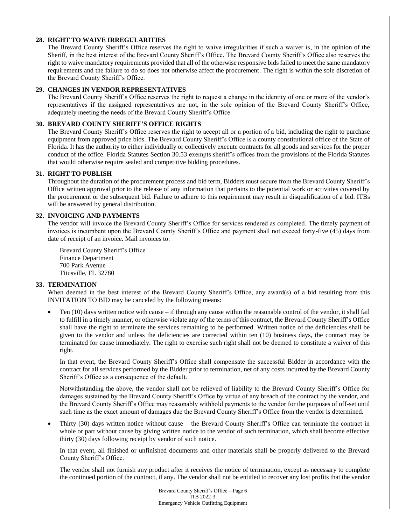## **28. RIGHT TO WAIVE IRREGULARITIES**

The Brevard County Sheriff's Office reserves the right to waive irregularities if such a waiver is, in the opinion of the Sheriff, in the best interest of the Brevard County Sheriff's Office. The Brevard County Sheriff's Office also reserves the right to waive mandatory requirements provided that all of the otherwise responsive bids failed to meet the same mandatory requirements and the failure to do so does not otherwise affect the procurement. The right is within the sole discretion of the Brevard County Sheriff's Office.

## **29. CHANGES IN VENDOR REPRESENTATIVES**

The Brevard County Sheriff's Office reserves the right to request a change in the identity of one or more of the vendor's representatives if the assigned representatives are not, in the sole opinion of the Brevard County Sheriff's Office, adequately meeting the needs of the Brevard County Sheriff's Office.

## **30. BREVARD COUNTY SHERIFF'S OFFICE RIGHTS**

The Brevard County Sheriff's Office reserves the right to accept all or a portion of a bid, including the right to purchase equipment from approved price bids. The Brevard County Sheriff's Office is a county constitutional office of the State of Florida. It has the authority to either individually or collectively execute contracts for all goods and services for the proper conduct of the office. Florida Statutes Section 30.53 exempts sheriff's offices from the provisions of the Florida Statutes that would otherwise require sealed and competitive bidding procedures.

#### **31. RIGHT TO PUBLISH**

Throughout the duration of the procurement process and bid term, Bidders must secure from the Brevard County Sheriff's Office written approval prior to the release of any information that pertains to the potential work or activities covered by the procurement or the subsequent bid. Failure to adhere to this requirement may result in disqualification of a bid. ITBs will be answered by general distribution.

#### **32. INVOICING AND PAYMENTS**

The vendor will invoice the Brevard County Sheriff's Office for services rendered as completed. The timely payment of invoices is incumbent upon the Brevard County Sheriff's Office and payment shall not exceed forty-five (45) days from date of receipt of an invoice. Mail invoices to:

Brevard County Sheriff's Office Finance Department 700 Park Avenue Titusville, FL 32780

## **33. TERMINATION**

When deemed in the best interest of the Brevard County Sheriff's Office, any award(s) of a bid resulting from this INVITATION TO BID may be canceled by the following means:

Ten  $(10)$  days written notice with cause – if through any cause within the reasonable control of the vendor, it shall fail to fulfill in a timely manner, or otherwise violate any of the terms of this contract, the Brevard County Sheriff's Office shall have the right to terminate the services remaining to be performed. Written notice of the deficiencies shall be given to the vendor and unless the deficiencies are corrected within ten (10) business days, the contract may be terminated for cause immediately. The right to exercise such right shall not be deemed to constitute a waiver of this right.

In that event, the Brevard County Sheriff's Office shall compensate the successful Bidder in accordance with the contract for all services performed by the Bidder prior to termination, net of any costs incurred by the Brevard County Sheriff's Office as a consequence of the default.

Notwithstanding the above, the vendor shall not be relieved of liability to the Brevard County Sheriff's Office for damages sustained by the Brevard County Sheriff's Office by virtue of any breach of the contract by the vendor, and the Brevard County Sheriff's Office may reasonably withhold payments to the vendor for the purposes of off-set until such time as the exact amount of damages due the Brevard County Sheriff's Office from the vendor is determined.

• Thirty (30) days written notice without cause – the Brevard County Sheriff's Office can terminate the contract in whole or part without cause by giving written notice to the vendor of such termination, which shall become effective thirty (30) days following receipt by vendor of such notice.

In that event, all finished or unfinished documents and other materials shall be properly delivered to the Brevard County Sheriff's Office.

The vendor shall not furnish any product after it receives the notice of termination, except as necessary to complete the continued portion of the contract, if any. The vendor shall not be entitled to recover any lost profits that the vendor

> Brevard County Sheriff's Office – Page 6 ITB 2022-3 Emergency Vehicle Outfitting Equipment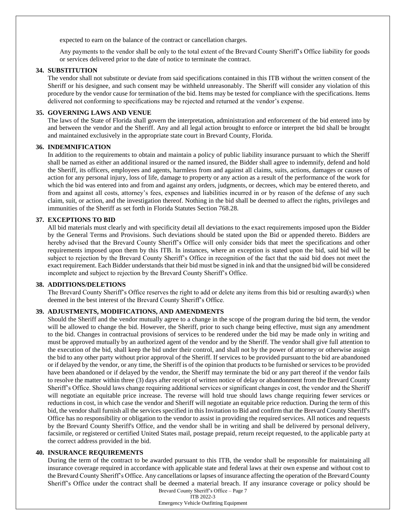expected to earn on the balance of the contract or cancellation charges.

Any payments to the vendor shall be only to the total extent of the Brevard County Sheriff's Office liability for goods or services delivered prior to the date of notice to terminate the contract.

#### **34. SUBSTITUTION**

The vendor shall not substitute or deviate from said specifications contained in this ITB without the written consent of the Sheriff or his designee, and such consent may be withheld unreasonably. The Sheriff will consider any violation of this procedure by the vendor cause for termination of the bid. Items may be tested for compliance with the specifications. Items delivered not conforming to specifications may be rejected and returned at the vendor's expense.

#### **35. GOVERNING LAWS AND VENUE**

The laws of the State of Florida shall govern the interpretation, administration and enforcement of the bid entered into by and between the vendor and the Sheriff. Any and all legal action brought to enforce or interpret the bid shall be brought and maintained exclusively in the appropriate state court in Brevard County, Florida.

#### **36. INDEMNIFICATION**

In addition to the requirements to obtain and maintain a policy of public liability insurance pursuant to which the Sheriff shall be named as either an additional insured or the named insured, the Bidder shall agree to indemnify, defend and hold the Sheriff, its officers, employees and agents, harmless from and against all claims, suits, actions, damages or causes of action for any personal injury, loss of life, damage to property or any action as a result of the performance of the work for which the bid was entered into and from and against any orders, judgments, or decrees, which may be entered thereto, and from and against all costs, attorney's fees, expenses and liabilities incurred in or by reason of the defense of any such claim, suit, or action, and the investigation thereof. Nothing in the bid shall be deemed to affect the rights, privileges and immunities of the Sheriff as set forth in Florida Statutes Section 768.28.

# **37. EXCEPTIONS TO BID**

All bid materials must clearly and with specificity detail all deviations to the exact requirements imposed upon the Bidder by the General Terms and Provisions. Such deviations should be stated upon the Bid or appended thereto. Bidders are hereby advised that the Brevard County Sheriff's Office will only consider bids that meet the specifications and other requirements imposed upon them by this ITB. In instances, where an exception is stated upon the bid, said bid will be subject to rejection by the Brevard County Sheriff's Office in recognition of the fact that the said bid does not meet the exact requirement. Each Bidder understands that their bid must be signed in ink and that the unsigned bid will be considered incomplete and subject to rejection by the Brevard County Sheriff's Office.

#### **38. ADDITIONS/DELETIONS**

The Brevard County Sheriff's Office reserves the right to add or delete any items from this bid or resulting award(s) when deemed in the best interest of the Brevard County Sheriff's Office.

## **39. ADJUSTMENTS, MODIFICATIONS, AND AMENDMENTS**

Should the Sheriff and the vendor mutually agree to a change in the scope of the program during the bid term, the vendor will be allowed to change the bid. However, the Sheriff, prior to such change being effective, must sign any amendment to the bid. Changes in contractual provisions of services to be rendered under the bid may be made only in writing and must be approved mutually by an authorized agent of the vendor and by the Sheriff. The vendor shall give full attention to the execution of the bid, shall keep the bid under their control, and shall not by the power of attorney or otherwise assign the bid to any other party without prior approval of the Sheriff. If services to be provided pursuant to the bid are abandoned or if delayed by the vendor, or any time, the Sheriff is of the opinion that products to be furnished or services to be provided have been abandoned or if delayed by the vendor, the Sheriff may terminate the bid or any part thereof if the vendor fails to resolve the matter within three (3) days after receipt of written notice of delay or abandonment from the Brevard County Sheriff's Office. Should laws change requiring additional services or significant changes in cost, the vendor and the Sheriff will negotiate an equitable price increase. The reverse will hold true should laws change requiring fewer services or reductions in cost, in which case the vendor and Sheriff will negotiate an equitable price reduction. During the term of this bid, the vendor shall furnish all the services specified in this Invitation to Bid and confirm that the Brevard County Sheriff's Office has no responsibility or obligation to the vendor to assist in providing the required services. All notices and requests by the Brevard County Sheriff's Office, and the vendor shall be in writing and shall be delivered by personal delivery, facsimile, or registered or certified United States mail, postage prepaid, return receipt requested, to the applicable party at the correct address provided in the bid.

#### **40. INSURANCE REQUIREMENTS**

During the term of the contract to be awarded pursuant to this ITB, the vendor shall be responsible for maintaining all insurance coverage required in accordance with applicable state and federal laws at their own expense and without cost to the Brevard County Sheriff's Office. Any cancellations or lapses of insurance affecting the operation of the Brevard County Sheriff's Office under the contract shall be deemed a material breach. If any insurance coverage or policy should be

Brevard County Sheriff's Office – Page 7 ITB 2022-3 Emergency Vehicle Outfitting Equipment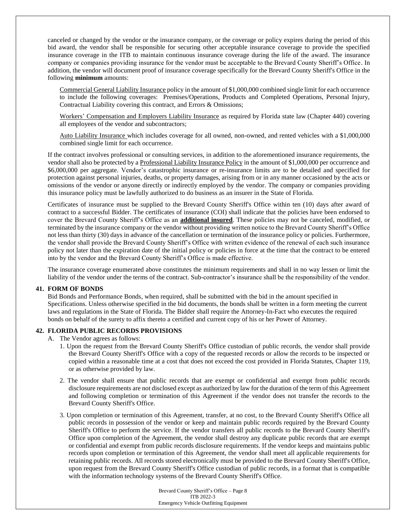canceled or changed by the vendor or the insurance company, or the coverage or policy expires during the period of this bid award, the vendor shall be responsible for securing other acceptable insurance coverage to provide the specified insurance coverage in the ITB to maintain continuous insurance coverage during the life of the award. The insurance company or companies providing insurance for the vendor must be acceptable to the Brevard County Sheriff's Office. In addition, the vendor will document proof of insurance coverage specifically for the Brevard County Sheriff's Office in the following **minimum** amounts:

Commercial General Liability Insurance policy in the amount of \$1,000,000 combined single limit for each occurrence to include the following coverages: Premises/Operations, Products and Completed Operations, Personal Injury, Contractual Liability covering this contract, and Errors & Omissions;

Workers' Compensation and Employers Liability Insurance as required by Florida state law (Chapter 440) covering all employees of the vendor and subcontractors;

Auto Liability Insurance which includes coverage for all owned, non-owned, and rented vehicles with a \$1,000,000 combined single limit for each occurrence.

If the contract involves professional or consulting services, in addition to the aforementioned insurance requirements, the vendor shall also be protected by a Professional Liability Insurance Policy in the amount of \$1,000,000 per occurrence and \$6,000,000 per aggregate. Vendor's catastrophic insurance or re-insurance limits are to be detailed and specified for protection against personal injuries, deaths, or property damages, arising from or in any manner occasioned by the acts or omissions of the vendor or anyone directly or indirectly employed by the vendor. The company or companies providing this insurance policy must be lawfully authorized to do business as an insurer in the State of Florida.

Certificates of insurance must be supplied to the Brevard County Sheriff's Office within ten (10) days after award of contract to a successful Bidder. The certificates of insurance (COI) shall indicate that the policies have been endorsed to cover the Brevard County Sheriff's Office as an **additional insured**. These policies may not be canceled, modified, or terminated by the insurance company or the vendor without providing written notice to the Brevard County Sheriff's Office not less than thirty (30) days in advance of the cancellation or termination of the insurance policy or policies. Furthermore, the vendor shall provide the Brevard County Sheriff's Office with written evidence of the renewal of each such insurance policy not later than the expiration date of the initial policy or policies in force at the time that the contract to be entered into by the vendor and the Brevard County Sheriff's Office is made effective.

The insurance coverage enumerated above constitutes the minimum requirements and shall in no way lessen or limit the liability of the vendor under the terms of the contract. Sub-contractor's insurance shall be the responsibility of the vendor.

#### **41. FORM OF BONDS**

Bid Bonds and Performance Bonds, when required, shall be submitted with the bid in the amount specified in Specifications. Unless otherwise specified in the bid documents, the bonds shall be written in a form meeting the current laws and regulations in the State of Florida. The Bidder shall require the Attorney-In-Fact who executes the required bonds on behalf of the surety to affix thereto a certified and current copy of his or her Power of Attorney.

#### **42. FLORIDA PUBLIC RECORDS PROVISIONS**

- A. The Vendor agrees as follows:
	- 1. Upon the request from the Brevard County Sheriff's Office custodian of public records, the vendor shall provide the Brevard County Sheriff's Office with a copy of the requested records or allow the records to be inspected or copied within a reasonable time at a cost that does not exceed the cost provided in Florida Statutes, Chapter 119, or as otherwise provided by law.
	- 2. The vendor shall ensure that public records that are exempt or confidential and exempt from public records disclosure requirements are not disclosed except as authorized by law for the duration of the term of this Agreement and following completion or termination of this Agreement if the vendor does not transfer the records to the Brevard County Sheriff's Office.
	- 3. Upon completion or termination of this Agreement, transfer, at no cost, to the Brevard County Sheriff's Office all public records in possession of the vendor or keep and maintain public records required by the Brevard County Sheriff's Office to perform the service. If the vendor transfers all public records to the Brevard County Sheriff's Office upon completion of the Agreement, the vendor shall destroy any duplicate public records that are exempt or confidential and exempt from public records disclosure requirements. If the vendor keeps and maintains public records upon completion or termination of this Agreement, the vendor shall meet all applicable requirements for retaining public records. All records stored electronically must be provided to the Brevard County Sheriff's Office, upon request from the Brevard County Sheriff's Office custodian of public records, in a format that is compatible with the information technology systems of the Brevard County Sheriff's Office.

Brevard County Sheriff's Office – Page 8 ITB 2022-3 Emergency Vehicle Outfitting Equipment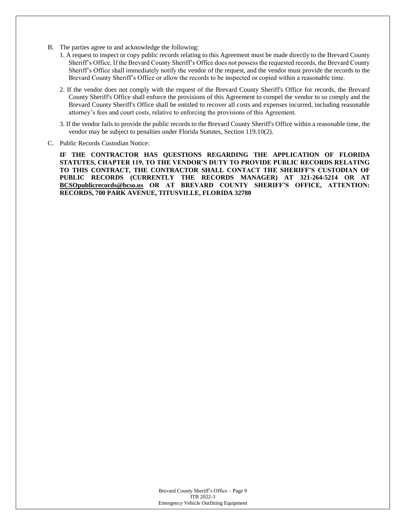- B. The parties agree to and acknowledge the following:
	- 1. A request to inspect or copy public records relating to this Agreement must be made directly to the Brevard County Sheriff's Office. If the Brevard County Sheriff's Office does not possess the requested records, the Brevard County Sheriff's Office shall immediately notify the vendor of the request, and the vendor must provide the records to the Brevard County Sheriff's Office or allow the records to be inspected or copied within a reasonable time.
	- 2. If the vendor does not comply with the request of the Brevard County Sheriff's Office for records, the Brevard County Sheriff's Office shall enforce the provisions of this Agreement to compel the vendor to so comply and the Brevard County Sheriff's Office shall be entitled to recover all costs and expenses incurred, including reasonable attorney's fees and court costs, relative to enforcing the provisions of this Agreement.
	- 3. If the vendor fails to provide the public records to the Brevard County Sheriff's Office within a reasonable time, the vendor may be subject to penalties under Florida Statutes, Section 119.10(2).
- C. Public Records Custodian Notice:

**IF THE CONTRACTOR HAS QUESTIONS REGARDING THE APPLICATION OF FLORIDA STATUTES, CHAPTER 119, TO THE VENDOR'S DUTY TO PROVIDE PUBLIC RECORDS RELATING TO THIS CONTRACT, THE CONTRACTOR SHALL CONTACT THE SHERIFF'S CUSTODIAN OF PUBLIC RECORDS (CURRENTLY THE RECORDS MANAGER) AT 321-264-5214 OR AT BCSOpublicrecords@bcso.us OR AT BREVARD COUNTY SHERIFF'S OFFICE, ATTENTION: RECORDS, 700 PARK AVENUE, TITUSVILLE, FLORIDA 32780**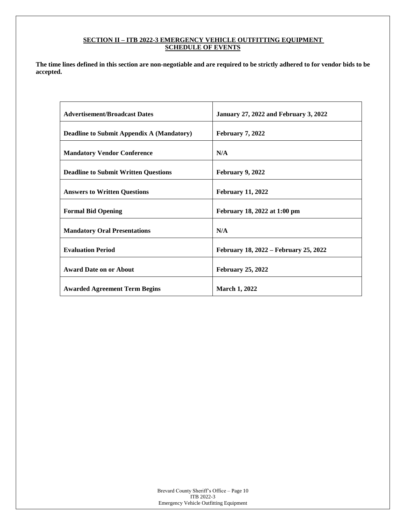# **SECTION II – ITB 2022-3 EMERGENCY VEHICLE OUTFITTING EQUIPMENT SCHEDULE OF EVENTS**

**The time lines defined in this section are non-negotiable and are required to be strictly adhered to for vendor bids to be accepted.**

| <b>Advertisement/Broadcast Dates</b>             | <b>January 27, 2022 and February 3, 2022</b> |
|--------------------------------------------------|----------------------------------------------|
| <b>Deadline to Submit Appendix A (Mandatory)</b> | February 7, 2022                             |
| <b>Mandatory Vendor Conference</b>               | N/A                                          |
| <b>Deadline to Submit Written Questions</b>      | February 9, 2022                             |
| <b>Answers to Written Questions</b>              | <b>February 11, 2022</b>                     |
| <b>Formal Bid Opening</b>                        | February 18, 2022 at 1:00 pm                 |
| <b>Mandatory Oral Presentations</b>              | N/A                                          |
| <b>Evaluation Period</b>                         | February 18, 2022 – February 25, 2022        |
| <b>Award Date on or About</b>                    | <b>February 25, 2022</b>                     |
| <b>Awarded Agreement Term Begins</b>             | <b>March 1, 2022</b>                         |

Brevard County Sheriff's Office – Page 10 ITB 2022-3 Emergency Vehicle Outfitting Equipment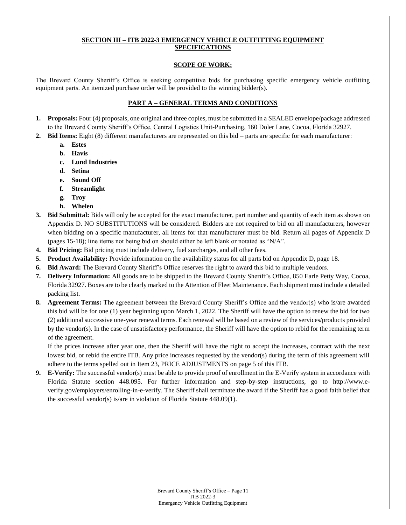# **SECTION III – ITB 2022-3 EMERGENCY VEHICLE OUTFITTING EQUIPMENT SPECIFICATIONS**

## **SCOPE OF WORK:**

The Brevard County Sheriff's Office is seeking competitive bids for purchasing specific emergency vehicle outfitting equipment parts. An itemized purchase order will be provided to the winning bidder(s).

## **PART A – GENERAL TERMS AND CONDITIONS**

- **1. Proposals:** Four (4) proposals, one original and three copies, must be submitted in a SEALED envelope/package addressed to the Brevard County Sheriff's Office, Central Logistics Unit-Purchasing, 160 Doler Lane, Cocoa, Florida 32927.
- **2. Bid Items:** Eight (8) different manufacturers are represented on this bid parts are specific for each manufacturer:
	- **a. Estes**
	- **b. Havis**
	- **c. Lund Industries**
	- **d. Setina**
	- **e. Sound Off**
	- **f. Streamlight**
	- **g. Troy**
	- **h. Whelen**
- **3. Bid Submittal:** Bids will only be accepted for the exact manufacturer, part number and quantity of each item as shown on Appendix D. NO SUBSTITUTIONS will be considered. Bidders are not required to bid on all manufacturers, however when bidding on a specific manufacturer, all items for that manufacturer must be bid. Return all pages of Appendix D (pages 15-18); line items not being bid on should either be left blank or notated as "N/A".
- **4. Bid Pricing:** Bid pricing must include delivery, fuel surcharges, and all other fees.
- **5. Product Availability:** Provide information on the availability status for all parts bid on Appendix D, page 18.
- **6. Bid Award:** The Brevard County Sheriff's Office reserves the right to award this bid to multiple vendors.
- **7. Delivery Information:** All goods are to be shipped to the Brevard County Sheriff's Office, 850 Earle Petty Way, Cocoa, Florida 32927. Boxes are to be clearly marked to the Attention of Fleet Maintenance. Each shipment must include a detailed packing list.
- **8. Agreement Terms:** The agreement between the Brevard County Sheriff's Office and the vendor(s) who is/are awarded this bid will be for one (1) year beginning upon March 1, 2022. The Sheriff will have the option to renew the bid for two (2) additional successive one-year renewal terms. Each renewal will be based on a review of the services/products provided by the vendor(s). In the case of unsatisfactory performance, the Sheriff will have the option to rebid for the remaining term of the agreement.

If the prices increase after year one, then the Sheriff will have the right to accept the increases, contract with the next lowest bid, or rebid the entire ITB. Any price increases requested by the vendor(s) during the term of this agreement will adhere to the terms spelled out in Item 23, PRICE ADJUSTMENTS on page 5 of this ITB.

**9. E-Verify:** The successful vendor(s) must be able to provide proof of enrollment in the E-Verify system in accordance with Florida Statute section 448.095. For further information and step-by-step instructions, go to http://www.everify.gov/employers/enrolling-in-e-verify. The Sheriff shall terminate the award if the Sheriff has a good faith belief that the successful vendor(s) is/are in violation of Florida Statute 448.09(1).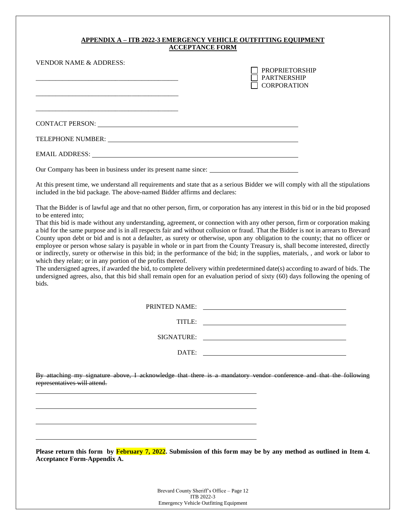# **APPENDIX A – ITB 2022-3 EMERGENCY VEHICLE OUTFITTING EQUIPMENT ACCEPTANCE FORM**

| <b>VENDOR NAME &amp; ADDRESS:</b>                                                                                                                                                                                              | <b>PROPRIETORSHIP</b><br><b>PARTNERSHIP</b><br><b>CORPORATION</b> |
|--------------------------------------------------------------------------------------------------------------------------------------------------------------------------------------------------------------------------------|-------------------------------------------------------------------|
| CONTACT PERSON: University of the contract of the contract of the contract of the contract of the contract of the contract of the contract of the contract of the contract of the contract of the contract of the contract of  |                                                                   |
| TELEPHONE NUMBER: University of the state of the state of the state of the state of the state of the state of the state of the state of the state of the state of the state of the state of the state of the state of the stat |                                                                   |
| EMAIL ADDRESS: North and the second service of the service of the service of the service of the service of the service of the service of the service of the service of the service of the service of the service of the servic |                                                                   |

Our Company has been in business under its present name since:

At this present time, we understand all requirements and state that as a serious Bidder we will comply with all the stipulations included in the bid package. The above-named Bidder affirms and declares:

That the Bidder is of lawful age and that no other person, firm, or corporation has any interest in this bid or in the bid proposed to be entered into;

That this bid is made without any understanding, agreement, or connection with any other person, firm or corporation making a bid for the same purpose and is in all respects fair and without collusion or fraud. That the Bidder is not in arrears to Brevard County upon debt or bid and is not a defaulter, as surety or otherwise, upon any obligation to the county; that no officer or employee or person whose salary is payable in whole or in part from the County Treasury is, shall become interested, directly or indirectly, surety or otherwise in this bid; in the performance of the bid; in the supplies, materials, , and work or labor to which they relate; or in any portion of the profits thereof.

The undersigned agrees, if awarded the bid, to complete delivery within predetermined date(s) according to award of bids. The undersigned agrees, also, that this bid shall remain open for an evaluation period of sixty (60) days following the opening of bids.

| PRINTED NAME: |  |
|---------------|--|
| TITLE:        |  |
| SIGNATURE:    |  |
| DATE:         |  |

By attaching my signature above, I acknowledge that there is a mandatory vendor conference and that the following representatives will attend.

**Please return this form by February 7, 2022. Submission of this form may be by any method as outlined in Item 4. Acceptance Form-Appendix A.**

> Brevard County Sheriff's Office – Page 12 ITB 2022-3 Emergency Vehicle Outfitting Equipment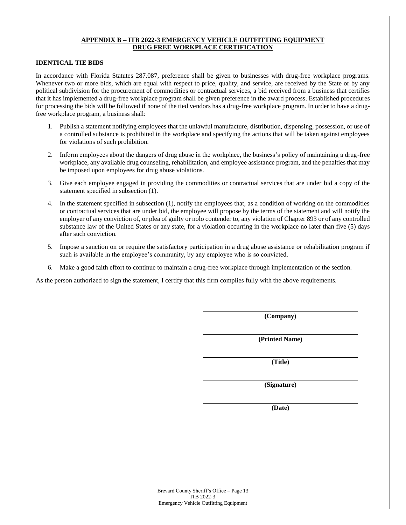## **APPENDIX B – ITB 2022-3 EMERGENCY VEHICLE OUTFITTING EQUIPMENT DRUG FREE WORKPLACE CERTIFICATION**

## **IDENTICAL TIE BIDS**

In accordance with Florida Statutes 287.087, preference shall be given to businesses with drug-free workplace programs. Whenever two or more bids, which are equal with respect to price, quality, and service, are received by the State or by any political subdivision for the procurement of commodities or contractual services, a bid received from a business that certifies that it has implemented a drug-free workplace program shall be given preference in the award process. Established procedures for processing the bids will be followed if none of the tied vendors has a drug-free workplace program. In order to have a drugfree workplace program, a business shall:

- 1. Publish a statement notifying employees that the unlawful manufacture, distribution, dispensing, possession, or use of a controlled substance is prohibited in the workplace and specifying the actions that will be taken against employees for violations of such prohibition.
- 2. Inform employees about the dangers of drug abuse in the workplace, the business's policy of maintaining a drug-free workplace, any available drug counseling, rehabilitation, and employee assistance program, and the penalties that may be imposed upon employees for drug abuse violations.
- 3. Give each employee engaged in providing the commodities or contractual services that are under bid a copy of the statement specified in subsection (1).
- 4. In the statement specified in subsection (1), notify the employees that, as a condition of working on the commodities or contractual services that are under bid, the employee will propose by the terms of the statement and will notify the employer of any conviction of, or plea of guilty or nolo contender to, any violation of Chapter 893 or of any controlled substance law of the United States or any state, for a violation occurring in the workplace no later than five (5) days after such conviction.
- 5. Impose a sanction on or require the satisfactory participation in a drug abuse assistance or rehabilitation program if such is available in the employee's community, by any employee who is so convicted.
- 6. Make a good faith effort to continue to maintain a drug-free workplace through implementation of the section.

As the person authorized to sign the statement, I certify that this firm complies fully with the above requirements.

**(Company)**

**(Printed Name)**

**(Title)**

**(Signature)**

**(Date)**

Brevard County Sheriff's Office – Page 13 ITB 2022-3 Emergency Vehicle Outfitting Equipment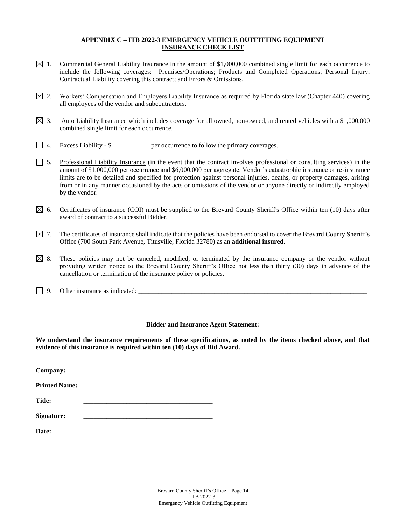# **APPENDIX C – ITB 2022-3 EMERGENCY VEHICLE OUTFITTING EQUIPMENT INSURANCE CHECK LIST**

- $\boxtimes$  1. Commercial General Liability Insurance in the amount of \$1,000,000 combined single limit for each occurrence to include the following coverages: Premises/Operations; Products and Completed Operations; Personal Injury; Contractual Liability covering this contract; and Errors & Omissions.
- $\boxtimes$  2. Workers' Compensation and Employers Liability Insurance as required by Florida state law (Chapter 440) covering all employees of the vendor and subcontractors.
- $\boxtimes$  3. Auto Liability Insurance which includes coverage for all owned, non-owned, and rented vehicles with a \$1,000,000 combined single limit for each occurrence.
- 4. Excess Liability \$ \_\_\_\_\_\_\_\_\_\_\_ per occurrence to follow the primary coverages.
- 5. Professional Liability Insurance (in the event that the contract involves professional or consulting services) in the amount of \$1,000,000 per occurrence and \$6,000,000 per aggregate. Vendor's catastrophic insurance or re-insurance limits are to be detailed and specified for protection against personal injuries, deaths, or property damages, arising from or in any manner occasioned by the acts or omissions of the vendor or anyone directly or indirectly employed by the vendor.
- $\boxtimes$  6. Certificates of insurance (COI) must be supplied to the Brevard County Sheriff's Office within ten (10) days after award of contract to a successful Bidder.
- $\boxtimes$  7. The certificates of insurance shall indicate that the policies have been endorsed to cover the Brevard County Sheriff's Office (700 South Park Avenue, Titusville, Florida 32780) as an **additional insured.**
- $\boxtimes$  8. These policies may not be canceled, modified, or terminated by the insurance company or the vendor without providing written notice to the Brevard County Sheriff's Office not less than thirty (30) days in advance of the cancellation or termination of the insurance policy or policies.
- $\Box$  9. Other insurance as indicated:

## **Bidder and Insurance Agent Statement:**

**We understand the insurance requirements of these specifications, as noted by the items checked above, and that evidence of this insurance is required within ten (10) days of Bid Award.**

| Company:             |  |
|----------------------|--|
| <b>Printed Name:</b> |  |
| <b>Title:</b>        |  |
| <b>Signature:</b>    |  |
| Date:                |  |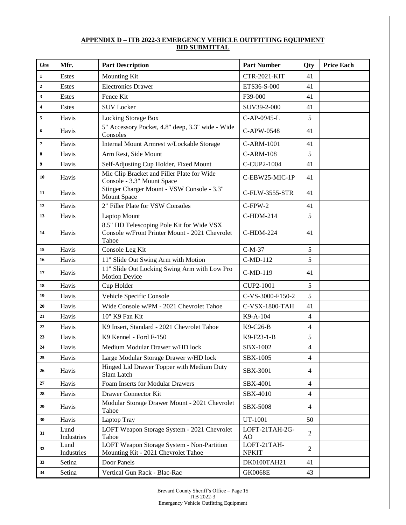# **APPENDIX D – ITB 2022-3 EMERGENCY VEHICLE OUTFITTING EQUIPMENT BID SUBMITTAL**

| Line                    | Mfr.               | <b>Part Description</b>                                                                              | <b>Part Number</b>               | Qty            | <b>Price Each</b> |
|-------------------------|--------------------|------------------------------------------------------------------------------------------------------|----------------------------------|----------------|-------------------|
| $\mathbf 1$             | Estes              | Mounting Kit                                                                                         | <b>CTR-2021-KIT</b>              | 41             |                   |
| $\overline{2}$          | Estes              | <b>Electronics Drawer</b>                                                                            | ETS36-S-000                      | 41             |                   |
| $\mathbf{3}$            | Estes              | Fence Kit                                                                                            | F39-000                          | 41             |                   |
| $\overline{\mathbf{4}}$ | Estes              | <b>SUV Locker</b>                                                                                    | SUV39-2-000                      | 41             |                   |
| 5                       | Havis              | Locking Storage Box                                                                                  | C-AP-0945-L                      | 5              |                   |
| 6                       | Havis              | 5" Accessory Pocket, 4.8" deep, 3.3" wide - Wide<br>Consoles                                         | C-APW-0548                       | 41             |                   |
| $\overline{7}$          | Havis              | Internal Mount Armrest w/Lockable Storage                                                            | C-ARM-1001                       | 41             |                   |
| $\bf{8}$                | Havis              | Arm Rest, Side Mount                                                                                 | <b>C-ARM-108</b>                 | 5              |                   |
| $\boldsymbol{9}$        | Havis              | Self-Adjusting Cup Holder, Fixed Mount                                                               | C-CUP2-1004                      | 41             |                   |
| 10                      | Havis              | Mic Clip Bracket and Filler Plate for Wide<br>Console - 3.3" Mount Space                             | C-EBW25-MIC-1P                   | 41             |                   |
| 11                      | Havis              | Stinger Charger Mount - VSW Console - 3.3"<br><b>Mount Space</b>                                     | C-FLW-3555-STR                   | 41             |                   |
| 12                      | Havis              | 2" Filler Plate for VSW Consoles                                                                     | $C$ -FPW-2                       | 41             |                   |
| 13                      | Havis              | <b>Laptop Mount</b>                                                                                  | C-HDM-214                        | 5              |                   |
| 14                      | Havis              | 8.5" HD Telescoping Pole Kit for Wide VSX<br>Console w/Front Printer Mount - 2021 Chevrolet<br>Tahoe | C-HDM-224                        | 41             |                   |
| 15                      | Havis              | Console Leg Kit                                                                                      | $C-M-37$                         | 5              |                   |
| 16                      | Havis              | 11" Slide Out Swing Arm with Motion                                                                  | C-MD-112                         | 5              |                   |
| 17                      | Havis              | 11" Slide Out Locking Swing Arm with Low Pro<br><b>Motion Device</b>                                 | C-MD-119                         | 41             |                   |
| 18                      | Havis              | Cup Holder                                                                                           | CUP2-1001                        | 5              |                   |
| 19                      | Havis              | Vehicle Specific Console                                                                             | C-VS-3000-F150-2                 | 5              |                   |
| 20                      | Havis              | Wide Console w/PM - 2021 Chevrolet Tahoe                                                             | C-VSX-1800-TAH                   | 41             |                   |
| 21                      | Havis              | 10" K9 Fan Kit                                                                                       | K9-A-104                         | $\overline{4}$ |                   |
| 22                      | Havis              | K9 Insert, Standard - 2021 Chevrolet Tahoe                                                           | K9-C26-B                         | $\overline{4}$ |                   |
| 23                      | Havis              | K9 Kennel - Ford F-150                                                                               | K9-F23-1-B                       | 5              |                   |
| 24                      | Havis              | Medium Modular Drawer w/HD lock                                                                      | SBX-1002                         | $\overline{4}$ |                   |
| 25                      | Havis              | Large Modular Storage Drawer w/HD lock                                                               | <b>SBX-1005</b>                  | 4              |                   |
| 26                      | Havis              | Hinged Lid Drawer Topper with Medium Duty<br>Slam Latch                                              | SBX-3001                         | $\overline{4}$ |                   |
| 27                      | Havis              | Foam Inserts for Modular Drawers                                                                     | SBX-4001                         | $\overline{4}$ |                   |
| 28                      | Havis              | Drawer Connector Kit                                                                                 | SBX-4010                         | $\overline{4}$ |                   |
| 29                      | Havis              | Modular Storage Drawer Mount - 2021 Chevrolet<br>Tahoe                                               | <b>SBX-5008</b>                  | $\overline{4}$ |                   |
| 30                      | Havis              | Laptop Tray                                                                                          | UT-1001                          | 50             |                   |
| 31                      | Lund<br>Industries | LOFT Weapon Storage System - 2021 Chevrolet<br>Tahoe                                                 | LOFT-21TAH-2G-<br>A <sub>O</sub> | 2              |                   |
| 32                      | Lund<br>Industries | LOFT Weapon Storage System - Non-Partition<br>Mounting Kit - 2021 Chevrolet Tahoe                    | LOFT-21TAH-<br><b>NPKIT</b>      | 2              |                   |
| 33                      | Setina             | Door Panels                                                                                          | DK0100TAH21                      | 41             |                   |
| 34                      | Setina             | Vertical Gun Rack - Blac-Rac                                                                         | <b>GK0068E</b>                   | 43             |                   |

Brevard County Sheriff's Office – Page 15 ITB 2022-3 Emergency Vehicle Outfitting Equipment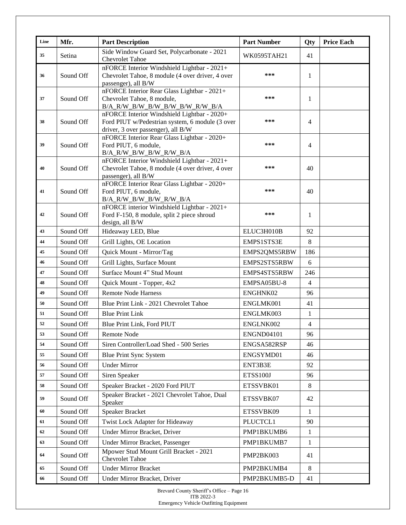| Line | Mfr.      | <b>Part Description</b>                                                                                                              | <b>Part Number</b> | Qty            | <b>Price Each</b> |
|------|-----------|--------------------------------------------------------------------------------------------------------------------------------------|--------------------|----------------|-------------------|
| 35   | Setina    | Side Window Guard Set, Polycarbonate - 2021<br><b>Chevrolet Tahoe</b>                                                                | WK0595TAH21        | 41             |                   |
| 36   | Sound Off | nFORCE Interior Windshield Lightbar - 2021+<br>Chevrolet Tahoe, 8 module (4 over driver, 4 over<br>passenger), all B/W               | ***                | 1              |                   |
| 37   | Sound Off | nFORCE Interior Rear Glass Lightbar - 2021+<br>Chevrolet Tahoe, 8 module,<br>B/A_R/W_B/W_B/W_B/W_B/W_R/W_B/A                         | ***                | 1              |                   |
| 38   | Sound Off | nFORCE Interior Windshield Lightbar - 2020+<br>Ford PIUT w/Pedestrian system, 6 module (3 over<br>driver, 3 over passenger), all B/W | ***                | $\overline{4}$ |                   |
| 39   | Sound Off | nFORCE Interior Rear Glass Lightbar - 2020+<br>Ford PIUT, 6 module,<br>B/A_R/W_B/W_B/W_R/W_B/A                                       | ***                | $\overline{4}$ |                   |
| 40   | Sound Off | nFORCE Interior Windshield Lightbar - 2021+<br>Chevrolet Tahoe, 8 module (4 over driver, 4 over<br>passenger), all B/W               | ***                | 40             |                   |
| 41   | Sound Off | nFORCE Interior Rear Glass Lightbar - 2020+<br>Ford PIUT, 6 module,<br>B/A_R/W_B/W_B/W_R/W_B/A                                       | ***                | 40             |                   |
| 42   | Sound Off | nFORCE interior Windshield Lightbar - 2021+<br>Ford F-150, 8 module, split 2 piece shroud<br>design, all B/W                         | ***                | 1              |                   |
| 43   | Sound Off | Hideaway LED, Blue                                                                                                                   | ELUC3H010B         | 92             |                   |
| 44   | Sound Off | Grill Lights, OE Location                                                                                                            | EMPS1STS3E         | 8              |                   |
| 45   | Sound Off | Quick Mount - Mirror/Tag                                                                                                             | EMPS2QMS5RBW       | 186            |                   |
| 46   | Sound Off | Grill Lights, Surface Mount                                                                                                          | EMPS2STS5RBW       | 6              |                   |
| 47   | Sound Off | Surface Mount 4" Stud Mount                                                                                                          | EMPS4STS5RBW       | 246            |                   |
| 48   | Sound Off | Quick Mount - Topper, 4x2                                                                                                            | EMPSA05BU-8        | $\overline{4}$ |                   |
| 49   | Sound Off | <b>Remote Node Harness</b>                                                                                                           | ENGHNK02           | 96             |                   |
| 50   | Sound Off | Blue Print Link - 2021 Chevrolet Tahoe                                                                                               | ENGLMK001          | 41             |                   |
| 51   | Sound Off | <b>Blue Print Link</b>                                                                                                               | ENGLMK003          | $\mathbf 1$    |                   |
| 52   | Sound Off | Blue Print Link, Ford PIUT                                                                                                           | ENGLNK002          | $\overline{4}$ |                   |
| 53   | Sound Off | Remote Node                                                                                                                          | <b>ENGND04101</b>  | 96             |                   |
| 54   | Sound Off | Siren Controller/Load Shed - 500 Series                                                                                              | ENGSA582RSP        | 46             |                   |
| 55   | Sound Off | <b>Blue Print Sync System</b>                                                                                                        | ENGSYMD01          | 46             |                   |
| 56   | Sound Off | <b>Under Mirror</b>                                                                                                                  | ENT3B3E            | 92             |                   |
| 57   | Sound Off | Siren Speaker                                                                                                                        | <b>ETSS100J</b>    | 96             |                   |
| 58   | Sound Off | Speaker Bracket - 2020 Ford PIUT                                                                                                     | ETSSVBK01          | 8              |                   |
| 59   | Sound Off | Speaker Bracket - 2021 Chevrolet Tahoe, Dual<br>Speaker                                                                              | ETSSVBK07          | 42             |                   |
| 60   | Sound Off | <b>Speaker Bracket</b>                                                                                                               | ETSSVBK09          | 1              |                   |
| 61   | Sound Off | Twist Lock Adapter for Hideaway                                                                                                      | PLUCTCL1           | 90             |                   |
| 62   | Sound Off | Under Mirror Bracket, Driver                                                                                                         | PMP1BKUMB6         | 1              |                   |
| 63   | Sound Off | Under Mirror Bracket, Passenger                                                                                                      | PMP1BKUMB7         | 1              |                   |
| 64   | Sound Off | Mpower Stud Mount Grill Bracket - 2021<br><b>Chevrolet Tahoe</b>                                                                     | PMP2BK003          | 41             |                   |
| 65   | Sound Off | <b>Under Mirror Bracket</b>                                                                                                          | PMP2BKUMB4         | 8              |                   |
| 66   | Sound Off | Under Mirror Bracket, Driver                                                                                                         | PMP2BKUMB5-D       | 41             |                   |

Brevard County Sheriff's Office – Page 16 ITB 2022-3 Emergency Vehicle Outfitting Equipment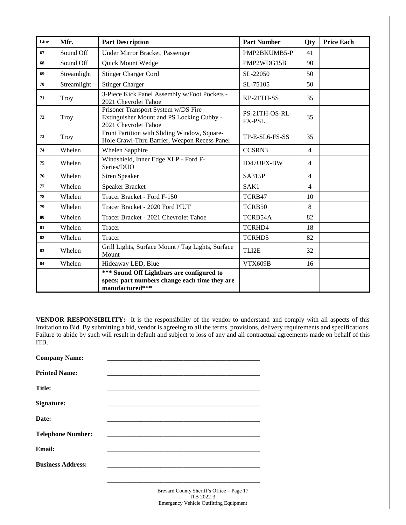| Line | Mfr.        | <b>Part Description</b>                                                                                       | <b>Part Number</b>              | Qty            | <b>Price Each</b> |
|------|-------------|---------------------------------------------------------------------------------------------------------------|---------------------------------|----------------|-------------------|
| 67   | Sound Off   | Under Mirror Bracket, Passenger                                                                               | PMP2BKUMB5-P                    | 41             |                   |
| 68   | Sound Off   | Quick Mount Wedge                                                                                             | PMP2WDG15B                      | 90             |                   |
| 69   | Streamlight | <b>Stinger Charger Cord</b>                                                                                   | SL-22050                        | 50             |                   |
| 70   | Streamlight | <b>Stinger Charger</b>                                                                                        | SL-75105                        | 50             |                   |
| 71   | Troy        | 3-Piece Kick Panel Assembly w/Foot Pockets -<br>2021 Chevrolet Tahoe                                          | KP-21TH-SS                      | 35             |                   |
| 72   | Troy        | Prisoner Transport System w/DS Fire<br>Extinguisher Mount and PS Locking Cubby -<br>2021 Chevrolet Tahoe      | PS-21TH-OS-RL-<br><b>FX-PSL</b> | 35             |                   |
| 73   | <b>Troy</b> | Front Partition with Sliding Window, Square-<br>Hole Crawl-Thru Barrier, Weapon Recess Panel                  | TP-E-SL6-FS-SS                  | 35             |                   |
| 74   | Whelen      | Whelen Sapphire                                                                                               | CCSRN3                          | $\overline{4}$ |                   |
| 75   | Whelen      | Windshield, Inner Edge XLP - Ford F-<br>Series/DUO                                                            | <b>ID47UFX-BW</b>               | $\overline{4}$ |                   |
| 76   | Whelen      | Siren Speaker                                                                                                 | <b>SA315P</b>                   | $\overline{4}$ |                   |
| 77   | Whelen      | Speaker Bracket                                                                                               | SAK1                            | $\overline{4}$ |                   |
| 78   | Whelen      | Tracer Bracket - Ford F-150                                                                                   | TCRB47                          | 10             |                   |
| 79   | Whelen      | Tracer Bracket - 2020 Ford PIUT                                                                               | TCRB50                          | 8              |                   |
| 80   | Whelen      | Tracer Bracket - 2021 Chevrolet Tahoe                                                                         | TCRB54A                         | 82             |                   |
| 81   | Whelen      | Tracer                                                                                                        | TCRHD4                          | 18             |                   |
| 82   | Whelen      | Tracer                                                                                                        | TCRHD5                          | 82             |                   |
| 83   | Whelen      | Grill Lights, Surface Mount / Tag Lights, Surface<br>Mount                                                    | TLI2E                           | 32             |                   |
| 84   | Whelen      | Hideaway LED, Blue                                                                                            | <b>VTX609B</b>                  | 16             |                   |
|      |             | *** Sound Off Lightbars are configured to<br>specs; part numbers change each time they are<br>manufactured*** |                                 |                |                   |

**VENDOR RESPONSIBILITY:** It is the responsibility of the vendor to understand and comply with all aspects of this Invitation to Bid. By submitting a bid, vendor is agreeing to all the terms, provisions, delivery requirements and specifications. Failure to abide by such will result in default and subject to loss of any and all contractual agreements made on behalf of this ITB.

Emergency Vehicle Outfitting Equipment

| <b>Company Name:</b>     |                                                         |
|--------------------------|---------------------------------------------------------|
| <b>Printed Name:</b>     |                                                         |
| Title:                   |                                                         |
| Signature:               |                                                         |
| Date:                    |                                                         |
| <b>Telephone Number:</b> |                                                         |
| <b>Email:</b>            |                                                         |
| <b>Business Address:</b> |                                                         |
|                          |                                                         |
|                          | Brevard County Sheriff's Office - Page 17<br>ITB 2022-3 |